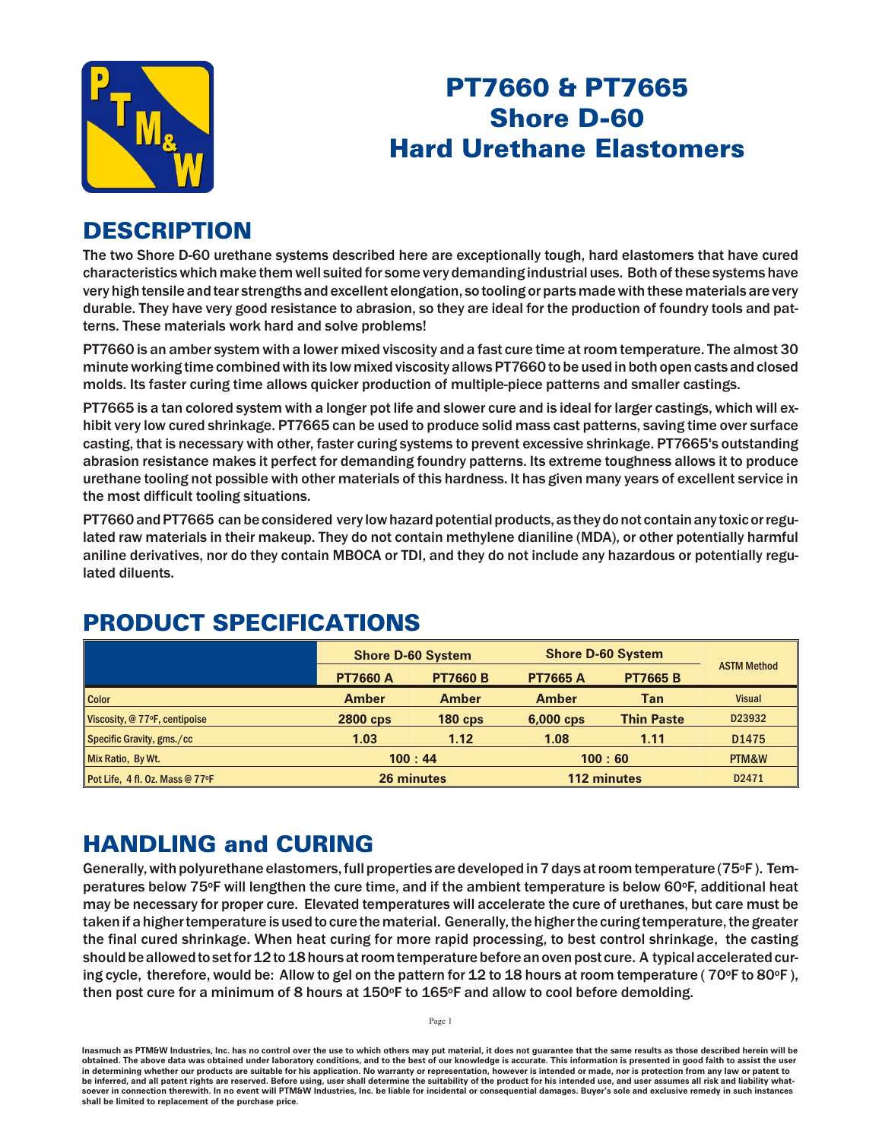

# PT7660 & PT7665 Shore D-60 **Hard Urethane Elastomers**

### **DESCRIPTION**

The two Shore D-60 urethane systems described here are exceptionally tough, hard elastomers that have cured characteristics which make them well suited for some very demanding industrial uses. Both of these systems have very high tensile and tear strengths and excellent elongation, so tooling or parts made with these materials are very durable. They have very good resistance to abrasion, so they are ideal for the production of foundry tools and patterns. These materials work hard and solve problems!

PT7660 is an amber system with a lower mixed viscosity and a fast cure time at room temperature. The almost 30 minute working time combined with its low mixed viscosity allows PT7660 to be used in both open casts and closed molds. Its faster curing time allows quicker production of multiple-piece patterns and smaller castings.

PT7665 is a tan colored system with a longer pot life and slower cure and is ideal for larger castings, which will exhibit very low cured shrinkage. PT7665 can be used to produce solid mass cast patterns, saving time over surface casting, that is necessary with other, faster curing systems to prevent excessive shrinkage. PT7665's outstanding abrasion resistance makes it perfect for demanding foundry patterns. Its extreme toughness allows it to produce urethane tooling not possible with other materials of this hardness. It has given many years of excellent service in the most difficult tooling situations.

PT7660 and PT7665 can be considered very low hazard potential products, as they do not contain any toxic or regulated raw materials in their makeup. They do not contain methylene dianiline (MDA), or other potentially harmful aniline derivatives, nor do they contain MBOCA or TDI, and they do not include any hazardous or potentially regulated diluents.

|                                 | <b>Shore D-60 System</b> |                 | <b>Shore D-60 System</b> |                   |                    |
|---------------------------------|--------------------------|-----------------|--------------------------|-------------------|--------------------|
|                                 | <b>PT7660 A</b>          | <b>PT7660 B</b> | <b>PT7665 A</b>          | <b>PT7665 B</b>   | <b>ASTM Method</b> |
| <b>Color</b>                    | <b>Amber</b>             | Amber           | Amber                    | Tan               | <b>Visual</b>      |
| Viscosity, @ 77°F, centipoise   | <b>2800 cps</b>          | $180$ cps       | $6,000$ cps              | <b>Thin Paste</b> | D23932             |
| Specific Gravity, gms./cc       | 1.03                     | 1.12            | 1.08                     | 1.11              | D <sub>1475</sub>  |
| Mix Ratio, By Wt.               | 100:44                   |                 | 100:60                   |                   | PTM&W              |
| Pot Life, 4 fl. Oz. Mass @ 77°F |                          | 26 minutes      |                          | 112 minutes       | D2471              |

## PRODUCT SPECIFICATIONS

### **HANDLING and CURING**

Generally, with polyurethane elastomers, full properties are developed in 7 days at room temperature (75°F). Temperatures below 75°F will lengthen the cure time, and if the ambient temperature is below 60°F, additional heat may be necessary for proper cure. Elevated temperatures will accelerate the cure of urethanes, but care must be taken if a higher temperature is used to cure the material. Generally, the higher the curing temperature, the greater the final cured shrinkage. When heat curing for more rapid processing, to best control shrinkage, the casting should be allowed to set for 12 to 18 hours at room temperature before an oven post cure. A typical accelerated curing cycle, therefore, would be: Allow to gel on the pattern for 12 to 18 hours at room temperature ( $70^{\circ}$ F to 80 $^{\circ}$ F), then post cure for a minimum of 8 hours at  $150\textdegree$ F to  $165\textdegree$ F and allow to cool before demolding.

Inasmuch as PTM&W Industries, Inc. has no control over the use to which others may put material, it does not guarantee that the same results as those described herein will be obtained. The above data was obtained under laboratory conditions, and to the best of our knowledge is accurate. This information is presented in good faith to assist the user in determining whether our products are suitable for his application. No warranty or representation, however is intended or made, nor is protection from any law or patent to be inferred, and all patent rights are reserved. Before using, user shall determine the suitability of the product for his intended use, and user assumes all risk and liability whatsoever in connection therewith. In no event will PTM&W Industries, Inc. be liable for incidental or consequential damages. Buyer's sole and exclusive remedy in such instances shall be limited to replacement of the purchase price.